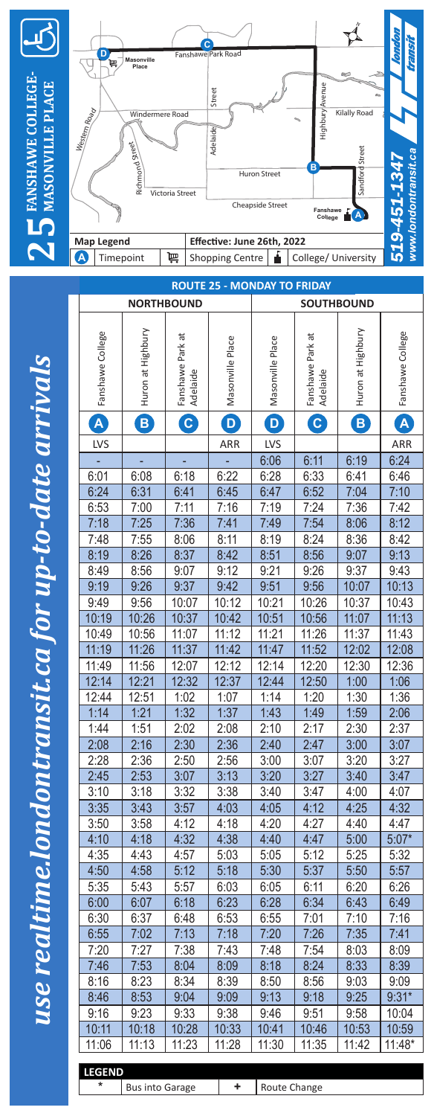

**25**

**FANSHAWE COLLEGE-MASONVILLE PLACE**

**ANSHAWE COLLEGE** 

**WILLE PLACE** 



*use realtime.londontransit.ca for up-to-date arrivals* use realtime.londontransit.ca for up-to-date arriva

| <b>ROUTE 25 - MONDAY TO FRIDAY</b> |                   |                              |                  |                  |                                                         |                   |                         |
|------------------------------------|-------------------|------------------------------|------------------|------------------|---------------------------------------------------------|-------------------|-------------------------|
|                                    |                   | <b>NORTHBOUND</b>            |                  |                  | <b>SOUTHBOUND</b>                                       |                   |                         |
|                                    |                   |                              |                  |                  |                                                         |                   |                         |
| Fanshawe College                   | Huron at Highbury | Fanshawe Park at<br>Adelaide | Masonville Place | Masonville Place | Fanshawe Park at<br>Adelaide                            | Huron at Highbury | Fanshawe College        |
| $\mathbf{A}$                       | B                 | $\mathbf{C}$                 | $\mathbf{D}$     | D                | $\left[ \begin{matrix} \mathbf{C} \end{matrix} \right]$ | B                 | $\overline{\mathsf{A}}$ |
| LVS                                |                   |                              | ARR              | LVS              |                                                         |                   | ARR                     |
|                                    |                   |                              |                  | 6:06             | 6:11                                                    | 6:19              | 6:24                    |
| 6:01                               | 6:08              | 6:18                         | 6:22             | 6:28             | 6:33                                                    | 6:41              | 6:46                    |
| 6:24                               | 6:31              | 6:41                         | 6:45             | 6:47             | 6:52                                                    | 7:04              | 7:10                    |
| 6:53                               | 7:00              | 7:11                         | 7:16             | 7:19             | 7:24                                                    | 7:36              | 7:42                    |
| 7:18                               | 7:25              | 7:36                         | 7:41             | 7:49             | 7:54                                                    | 8:06              | 8:12                    |
| 7:48                               | 7:55              | 8:06                         | 8:11             | 8:19             | 8:24                                                    | 8:36              | 8:42                    |
| 8:19                               | 8:26              | 8:37                         | 8:42             | 8:51             | 8:56                                                    | 9:07              | 9:13                    |
| 8:49                               | 8:56              | 9:07                         | 9:12             | 9:21             | 9:26                                                    | 9:37              | 9:43                    |
| 9:19                               | 9:26              | 9:37                         | 9:42             | 9:51             | 9:56                                                    | 10:07             | 10:13                   |
| 9:49                               | 9:56              | 10:07                        | 10:12            | 10:21            | 10:26                                                   | 10:37             | 10:43                   |
| 10:19                              | 10:26             | 10:37                        | 10:42            | 10:51            | 10:56                                                   | 11:07             | 11:13                   |
| 10:49                              | 10:56             | 11:07                        | 11:12            | 11:21            | 11:26                                                   | 11:37             | 11:43                   |
| 11:19                              | 11:26             | 11:37                        | 11:42            | 11:47            | 11:52                                                   | 12:02             | 12:08                   |
| 11:49                              | 11:56             | 12:07                        | 12:12            | 12:14            | 12:20                                                   | 12:30             | 12:36                   |
| 12:14                              | 12:21             | 12:32                        | 12:37            | 12:44            | 12:50                                                   | 1:00              | 1:06                    |
| 12:44                              | 12:51             | 1:02                         | 1:07             | 1:14             | 1:20                                                    | 1:30              | 1:36                    |
| 1:14                               | 1:21              | 1:32                         | 1:37             | 1:43             | 1:49                                                    | 1:59              | 2:06                    |
| 1:44                               | 1:51              | 2:02                         | 2:08             | 2:10             | 2:17                                                    | 2:30              | 2:37                    |
| 2:08                               | 2:16              | 2:30                         | 2:36             | 2:40             | 2:47                                                    | 3:00              | 3:07                    |
| 2:28                               | 2:36              | 2:50                         | 2:56             | 3:00             | 3:07                                                    | 3:20              | 3:27                    |
| 2:45                               | 2:53              | 3:07                         | 3:13             | 3:20             | 3:27                                                    | 3:40              | 3:47                    |
| 3:10                               | 3:18              | 3:32                         | 3:38             | 3:40             | 3:47                                                    | 4:00              | 4:07                    |
| 3:35                               | 3:43              | 3:57                         | 4:03             | 4:05             | 4:12                                                    | 4:25              | 4:32                    |
| 3:50<br>4:10                       | 3:58<br>4:18      | 4:12                         | 4:18             | 4:20<br>4:40     | 4:27                                                    | 4:40              | 4:47<br>$5:07*$         |
| 4:35                               | 4:43              | 4:32<br>4:57                 | 4:38<br>5:03     | 5:05             | 4:47<br>5:12                                            | 5:00<br>5:25      | 5:32                    |
| 4:50                               | 4:58              | 5:12                         | 5:18             | 5:30             | 5:37                                                    | 5:50              | 5:57                    |
| 5:35                               | 5:43              | 5:57                         | 6:03             | 6:05             | 6:11                                                    | 6:20              | 6:26                    |
| 6:00                               | 6:07              | 6:18                         | 6:23             | 6:28             | 6:34                                                    | 6:43              | 6:49                    |
| 6:30                               | 6:37              | 6:48                         | 6:53             | 6:55             | 7:01                                                    | 7:10              | 7:16                    |
| 6:55                               | 7:02              | 7:13                         | 7:18             | 7:20             | 7:26                                                    | 7:35              | 7:41                    |
| 7:20                               | 7:27              | 7:38                         | 7:43             | 7:48             | 7:54                                                    | 8:03              | 8:09                    |
| 7:46                               | 7:53              | 8:04                         | 8:09             | 8:18             | 8:24                                                    | 8:33              | 8:39                    |
| 8:16                               | 8:23              | 8:34                         | 8:39             | 8:50             | 8:56                                                    | 9:03              | 9:09                    |
| 8:46                               | 8:53              | 9:04                         | 9:09             | 9:13             | 9:18                                                    | 9:25              | $9:31*$                 |
| 9:16                               | 9:23              | 9:33                         | 9:38             | 9:46             | 9:51                                                    | 9:58              | 10:04                   |
| 10:11                              | 10:18             | 10:28                        | 10:33            | 10:41            | 10:46                                                   | 10:53             | 10:59                   |
| 11:06                              | 11:13             | 11:23                        | 11:28            | 11:30            | 11:35                                                   | 11:42             | $11:48*$                |
| <b>LEGEND</b>                      |                   |                              |                  |                  |                                                         |                   |                         |

**Bus into Garage**  $\qquad$  **<b>+** Route Change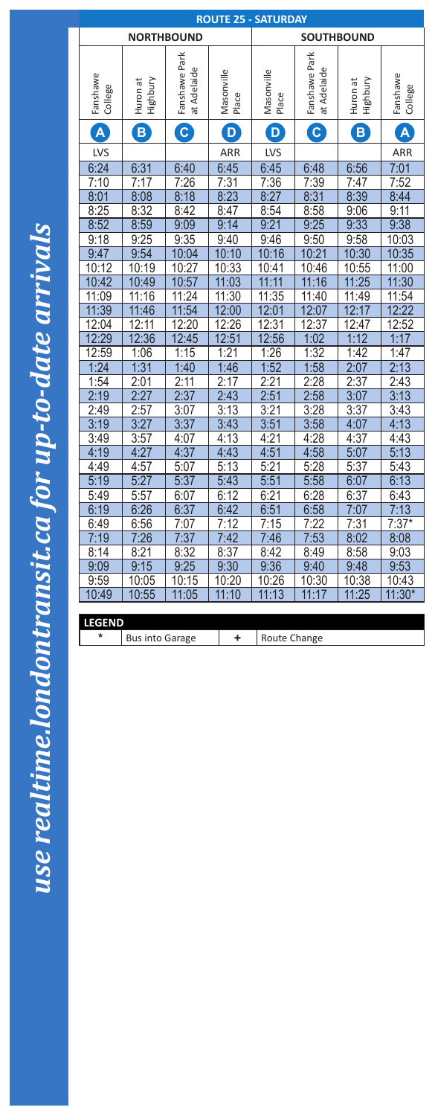| <b>ROUTE 25 - SATURDAY</b> |                        |                              |                         |                       |                              |                      |                         |
|----------------------------|------------------------|------------------------------|-------------------------|-----------------------|------------------------------|----------------------|-------------------------|
| <b>NORTHBOUND</b>          |                        |                              |                         | <b>SOUTHBOUND</b>     |                              |                      |                         |
| Fanshawe<br>College        | Highbury<br>Huron at   | Fanshawe Park<br>at Adelaide | Masonville<br>Place     | Masonville<br>Place   | Fanshawe Park<br>at Adelaide | Highbury<br>Huron at | Fanshawe<br>College     |
| $\overline{\mathbf{A}}$    | B                      | $\overline{c}$               | $\overline{\mathsf{D}}$ | D                     | $\mathbf{C}$                 | $\pmb{\mathsf{B}}$   | $\overline{\mathsf{A}}$ |
| <b>LVS</b>                 |                        |                              | ARR                     | <b>LVS</b>            |                              |                      | ARR                     |
| 6:24                       | 6:31                   | 6:40                         | 6:45                    | 6:45                  | 6:48                         | 6:56                 | 7:01                    |
| 7:10                       | 7:17                   | 7:26                         |                         | 7:36                  | 7:39                         | 7:47                 | 7:52                    |
| 8:01                       | 8:08                   | 8:18                         | $\frac{7:31}{8:23}$     | 8:27                  | 8:31                         | 8:39                 | 8:44                    |
| 8:25                       | 8:32                   | 8:42                         | 8:47                    | 8:54                  | 8:58                         | 9:06                 | 9:11                    |
| 8:52                       | 8:59                   | 9:09                         | 9:14                    | 9:21                  | 9:25                         | 9:33                 | 9:38                    |
| 9:18                       | 9:25                   | 9:35                         | 9:40                    | 9:46                  | 9:50                         | 9:58                 | 10:03                   |
| 9:47                       | 9:54                   | 10:04                        | 10:10                   | 10:16                 | 10:21                        | 10:30                | 10:35                   |
| $\frac{10:12}{10:42}$      | 10:19                  | $\frac{10:27}{10:57}$        | 10:33                   | 10:41                 | 10:46                        | 10:55                | 11:00                   |
|                            | 10:49                  |                              | 11:03                   | 11:11                 | 11:16                        | 11:25                | 11:30                   |
| 11:09                      | 11:16                  | 11:24                        | 11:30                   | 11:35                 | 11:40                        | 11:49                | 11:54                   |
| 11:39                      | 11:46                  | 11:54                        | 12:00                   | 12:01                 | 12:07                        | 12:17                | 12:22                   |
| 12:04                      | 12:11                  | 12:20                        | $\frac{12:26}{12:51}$   |                       | 12:37                        | 12:47                | 12:52                   |
| 12:29                      | 12:36                  | 12:45                        |                         | $\frac{12:31}{12:56}$ | 1:02                         | 1:12                 | 1:17                    |
| 12:59                      | 1:06                   | 1:15                         | 1:21                    | 1:26                  | 1:32                         | 1:42                 | 1:47                    |
| 1:24                       | 1:31                   | 1:40                         | 1:46                    | 1:52                  | 1:58                         | 2:07                 | 2:13                    |
| 1:54                       | 2:01                   | 2:11                         | 2:17                    | 2:21                  | 2:28                         | 2:37                 | 2:43                    |
| 2:19                       | 2:27                   | 2:37                         | 2:43                    | 2:51                  | 2:58                         | 3:07                 | 3:13                    |
| 2:49                       | 2:57                   | 3:07                         | 3:13                    | 3:21                  | 3:28                         | 3:37                 | 3:43                    |
| $\frac{3:19}{3:49}$        | $\frac{3:27}{3:57}$    | 3:37                         | 3:43                    | 3:51                  |                              | 4:07                 | 4:13                    |
|                            |                        | 4:07                         | 4:13                    | 4:21                  | $\frac{3:58}{4:28}$          | 4:37                 | 4:43                    |
| 4:19                       | 4:27                   | 4:37                         | 4:43                    | 4:51                  | 4:58                         | 5:07                 | 5:13                    |
| 4:49                       | 4:57                   | 5:07                         | 5:13                    | 5:21                  | 5:28                         | 5:37                 | 5:43                    |
| 5:19                       | 5:27                   | 5:37                         | 5:43                    | 5:51                  | 5:58                         | 6:07                 | 6:13                    |
| 5:49                       | 5:57                   | 6:07                         | 6:12                    | 6:21                  | 6:28                         | 6:37                 | 6:43                    |
| 6:19                       | 6:26                   | 6:37                         | 6:42                    | 6:51                  | 6:58                         | 7:07                 | 7:13                    |
| 6:49                       | 6:56                   | 7:07                         | 7:12                    | 7:15                  | 7:22                         | 7:31                 | $7:37*$                 |
| 7:19                       | 7:26                   | 7:37                         | 7:42                    | 7:46                  | 7:53                         | 8:02                 | 8:08                    |
| 8:14                       | 8:21                   | 8:32                         | 8:37                    | 8:42                  | 8:49                         | 8:58                 | 9:03                    |
| 9:09                       | 9:15                   | 9:25                         | 9:30                    | 9:36                  | 9:40                         | 9:48                 | 9:53                    |
| 9:59                       | 10:05                  | 10:15                        | 10:20                   | 10:26                 | 10:30                        | 10:38                | 10:43                   |
| 10:49                      | 10:55                  | 11:05                        | 11:10                   | 11:13                 | 11:17                        | 11:25                | 11:30*                  |
|                            |                        |                              |                         |                       |                              |                      |                         |
| <b>LEGEND</b>              |                        |                              |                         |                       |                              |                      |                         |
| *                          | <b>Bus into Garage</b> |                              | ٠.                      | Route Change          |                              |                      |                         |